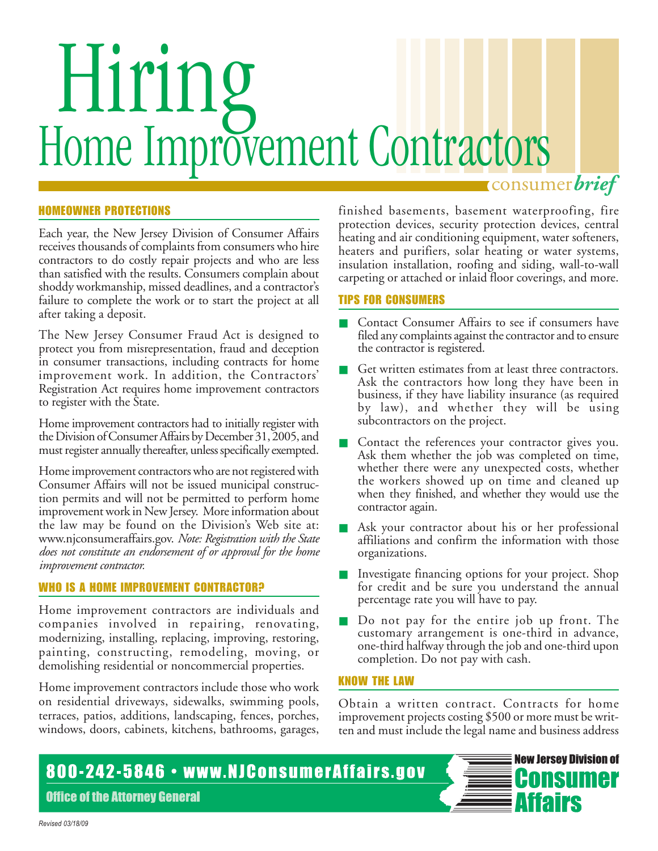# Hiring Home Improvement Contractors consumer*brief*

HOMEOWNER PROTECTIONS

Each year, the New Jersey Division of Consumer Affairs receives thousands of complaints from consumers who hire contractors to do costly repair projects and who are less than satisfied with the results. Consumers complain about shoddy workmanship, missed deadlines, and a contractor's failure to complete the work or to start the project at all after taking a deposit.

The New Jersey Consumer Fraud Act is designed to protect you from misrepresentation, fraud and deception in consumer transactions, including contracts for home improvement work. In addition, the Contractors' Registration Act requires home improvement contractors to register with the State.

Home improvement contractors had to initially register with the Division of Consumer Affairs by December 31, 2005, and must register annually thereafter, unless specifically exempted.

Home improvement contractors who are not registered with Consumer Affairs will not be issued municipal construction permits and will not be permitted to perform home improvement work in New Jersey. More information about the law may be found on the Division's Web site at: www.njconsumeraffairs.gov. *Note: Registration with the State does not constitute an endorsement of or approval for the home improvement contractor.*

# WHO IS A HOME IMPROVEMENT CONTRACTOR?

Home improvement contractors are individuals and companies involved in repairing, renovating, modernizing, installing, replacing, improving, restoring, painting, constructing, remodeling, moving, or demolishing residential or noncommercial properties.

Home improvement contractors include those who work on residential driveways, sidewalks, swimming pools, terraces, patios, additions, landscaping, fences, porches, windows, doors, cabinets, kitchens, bathrooms, garages, finished basements, basement waterproofing, fire protection devices, security protection devices, central heating and air conditioning equipment, water softeners, heaters and purifiers, solar heating or water systems, insulation installation, roofing and siding, wall-to-wall carpeting or attached or inlaid floor coverings, and more.

## TIPS FOR CONSUMERS

- Contact Consumer Affairs to see if consumers have filed any complaints against the contractor and to ensure the contractor is registered.
- Get written estimates from at least three contractors. Ask the contractors how long they have been in business, if they have liability insurance (as required by law), and whether they will be using subcontractors on the project.
- Contact the references your contractor gives you. Ask them whether the job was completed on time, whether there were any unexpected costs, whether the workers showed up on time and cleaned up when they finished, and whether they would use the contractor again.
- Ask your contractor about his or her professional affiliations and confirm the information with those organizations.
- Investigate financing options for your project. Shop for credit and be sure you understand the annual percentage rate you will have to pay.
- Do not pay for the entire job up front. The customary arrangement is one-third in advance, one-third halfway through the job and one-third upon completion. Do not pay with cash.

## KNOW THE LAW

Obtain a written contract. Contracts for home improvement projects costing \$500 or more must be written and must include the legal name and business address

# 800-242-5846 · www.NJConsumerAffairs.gov

**Office of the Attorney General**